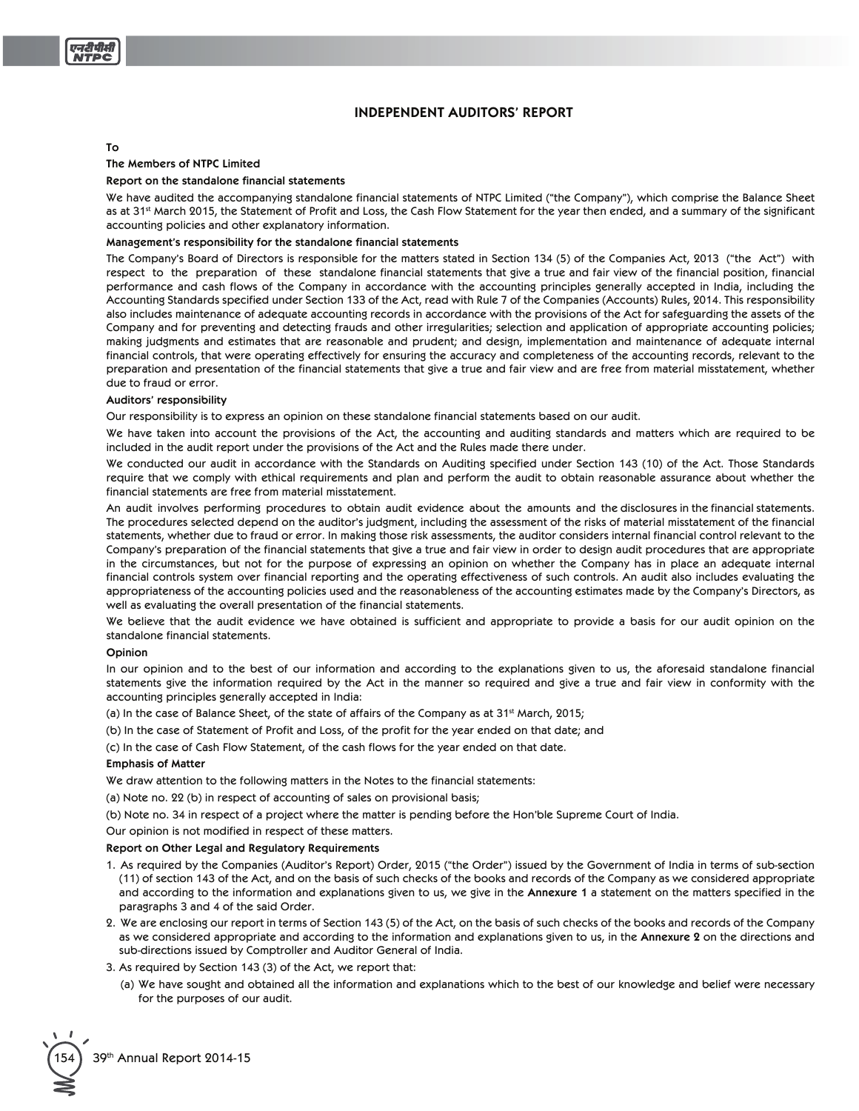## **INDEPENDENT AUDITORS' REPORT**

### **To**

## **The Members of NTPC Limited**

#### **Report on the standalone financial statements**

We have audited the accompanying standalone financial statements of NTPC Limited ("the Company"), which comprise the Balance Sheet as at 31<sup>st</sup> March 2015, the Statement of Profit and Loss, the Cash Flow Statement for the year then ended, and a summary of the significant accounting policies and other explanatory information.

### **Management's responsibility for the standalone financial statements**

The Company's Board of Directors is responsible for the matters stated in Section 134 (5) of the Companies Act, 2013 ("the Act") with respect to the preparation of these standalone financial statements that give a true and fair view of the financial position, financial performance and cash flows of the Company in accordance with the accounting principles generally accepted in India, including the Accounting Standards specified under Section 133 of the Act, read with Rule 7 of the Companies (Accounts) Rules, 2014. This responsibility also includes maintenance of adequate accounting records in accordance with the provisions of the Act for safeguarding the assets of the Company and for preventing and detecting frauds and other irregularities; selection and application of appropriate accounting policies; making judgments and estimates that are reasonable and prudent; and design, implementation and maintenance of adequate internal financial controls, that were operating effectively for ensuring the accuracy and completeness of the accounting records, relevant to the preparation and presentation of the financial statements that give a true and fair view and are free from material misstatement, whether due to fraud or error.

#### **Auditors' responsibility**

Our responsibility is to express an opinion on these standalone financial statements based on our audit.

We have taken into account the provisions of the Act, the accounting and auditing standards and matters which are required to be included in the audit report under the provisions of the Act and the Rules made there under.

We conducted our audit in accordance with the Standards on Auditing specified under Section 143 (10) of the Act. Those Standards require that we comply with ethical requirements and plan and perform the audit to obtain reasonable assurance about whether the financial statements are free from material misstatement.

An audit involves performing procedures to obtain audit evidence about the amounts and the disclosures in the financial statements. The procedures selected depend on the auditor's judgment, including the assessment of the risks of material misstatement of the financial statements, whether due to fraud or error. In making those risk assessments, the auditor considers internal financial control relevant to the Company's preparation of the financial statements that give a true and fair view in order to design audit procedures that are appropriate in the circumstances, but not for the purpose of expressing an opinion on whether the Company has in place an adequate internal financial controls system over financial reporting and the operating effectiveness of such controls. An audit also includes evaluating the appropriateness of the accounting policies used and the reasonableness of the accounting estimates made by the Company's Directors, as well as evaluating the overall presentation of the financial statements.

We believe that the audit evidence we have obtained is sufficient and appropriate to provide a basis for our audit opinion on the standalone financial statements.

#### **Opinion**

In our opinion and to the best of our information and according to the explanations given to us, the aforesaid standalone financial statements give the information required by the Act in the manner so required and give a true and fair view in conformity with the accounting principles generally accepted in India:

(a) In the case of Balance Sheet, of the state of affairs of the Company as at  $31<sup>st</sup>$  March, 2015;

(b) In the case of Statement of Profit and Loss, of the profit for the year ended on that date; and

(c) In the case of Cash Flow Statement, of the cash flows for the year ended on that date.

#### **Emphasis of Matter**

We draw attention to the following matters in the Notes to the financial statements:

(a) Note no. 22 (b) in respect of accounting of sales on provisional basis;

(b) Note no. 34 in respect of a project where the matter is pending before the Hon'ble Supreme Court of India.

## Our opinion is not modified in respect of these matters.

### **Report on Other Legal and Regulatory Requirements**

- 1. As required by the Companies (Auditor's Report) Order, 2015 ("the Order") issued by the Government of India in terms of sub-section (11) of section 143 of the Act, and on the basis of such checks of the books and records of the Company as we considered appropriate and according to the information and explanations given to us, we give in the **Annexure 1** a statement on the matters specified in the paragraphs 3 and 4 of the said Order.
- 2. We are enclosing our report in terms of Section 143 (5) of the Act, on the basis of such checks of the books and records of the Company as we considered appropriate and according to the information and explanations given to us, in the **Annexure 2** on the directions and sub-directions issued by Comptroller and Auditor General of India.
- 3. As required by Section 143 (3) of the Act, we report that:
	- (a) We have sought and obtained all the information and explanations which to the best of our knowledge and belief were necessary for the purposes of our audit.

39<sup>th</sup> Annual Report 2014-15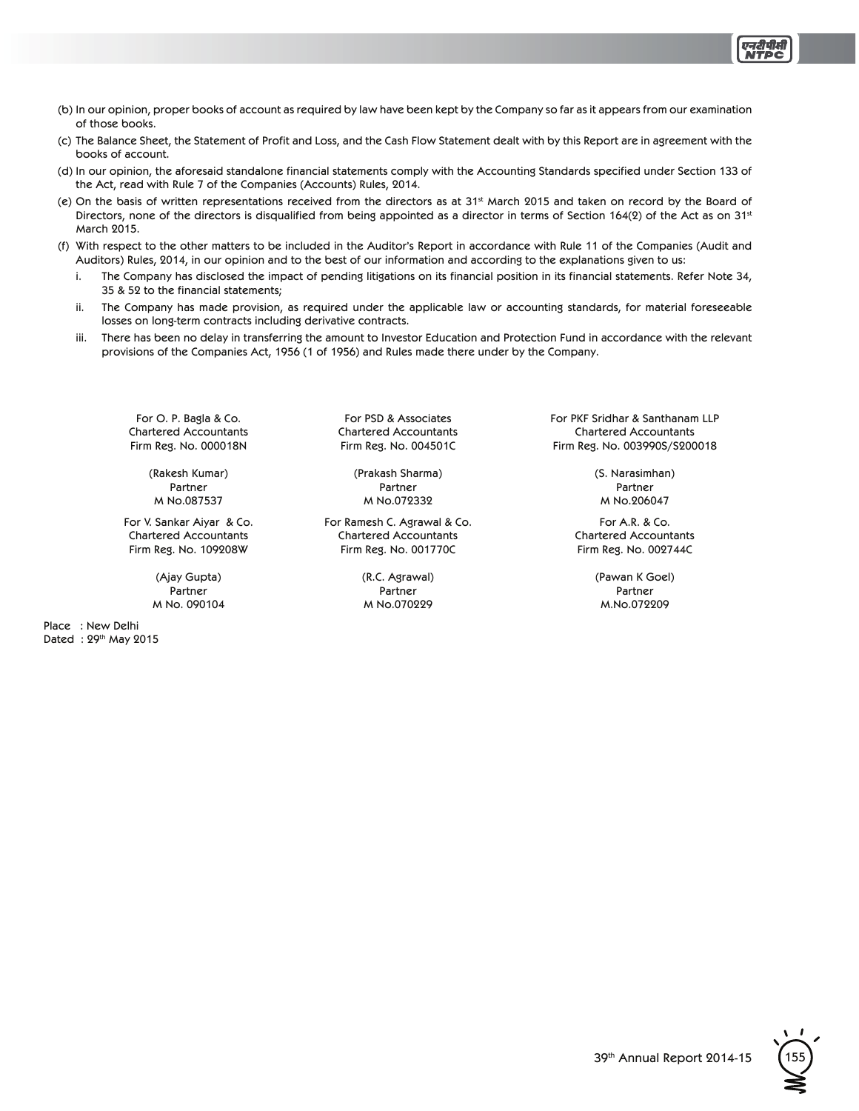

- (b) In our opinion, proper books of account as required by law have been kept by the Company so far as it appears from our examination of those books.
- (c) The Balance Sheet, the Statement of Profit and Loss, and the Cash Flow Statement dealt with by this Report are in agreement with the books of account.
- (d) In our opinion, the aforesaid standalone financial statements comply with the Accounting Standards specified under Section 133 of the Act, read with Rule 7 of the Companies (Accounts) Rules, 2014.
- (e) On the basis of written representations received from the directors as at 31st March 2015 and taken on record by the Board of Directors, none of the directors is disqualified from being appointed as a director in terms of Section 164(2) of the Act as on 31st March 2015.
- (f) With respect to the other matters to be included in the Auditor's Report in accordance with Rule 11 of the Companies (Audit and Auditors) Rules, 2014, in our opinion and to the best of our information and according to the explanations given to us:
	- i. The Company has disclosed the impact of pending litigations on its financial position in its financial statements. Refer Note 34, 35 & 52 to the financial statements;
	- ii. The Company has made provision, as required under the applicable law or accounting standards, for material foreseeable losses on long-term contracts including derivative contracts.
	- iii. There has been no delay in transferring the amount to Investor Education and Protection Fund in accordance with the relevant provisions of the Companies Act, 1956 (1 of 1956) and Rules made there under by the Company.

Partner Partner Partner Partner Partner Partner Partner Partner Partner Partner M No.087537 M No.072332 M No.206047

Firm Reg. No. 109208W

Partner Partner Partner Partner Partner Partner Partner Partner Partner Partner M No. 090104 M No.070229 M.No.072209

Place : New Delhi Dated : 29th May 2015

(Rakesh Kumar) (Prakash Sharma) (S. Narasimhan)

For V. Sankar Aiyar & Co. For Ramesh C. Agrawal & Co. For A.R. & Co. Chartered Accountants Chartered Accountants Chartered Accountants

For O. P. Bagla & Co. For PSD & Associates For PKF Sridhar & Santhanam LLP Chartered Accountants Chartered Accountants Chartered Accountants Firm Reg. No. 000018N Firm Reg. No. 004501C Firm Reg. No. 003990S/S200018

(Ajay Gupta) (R.C. Agrawal) (Pawan K Goel)

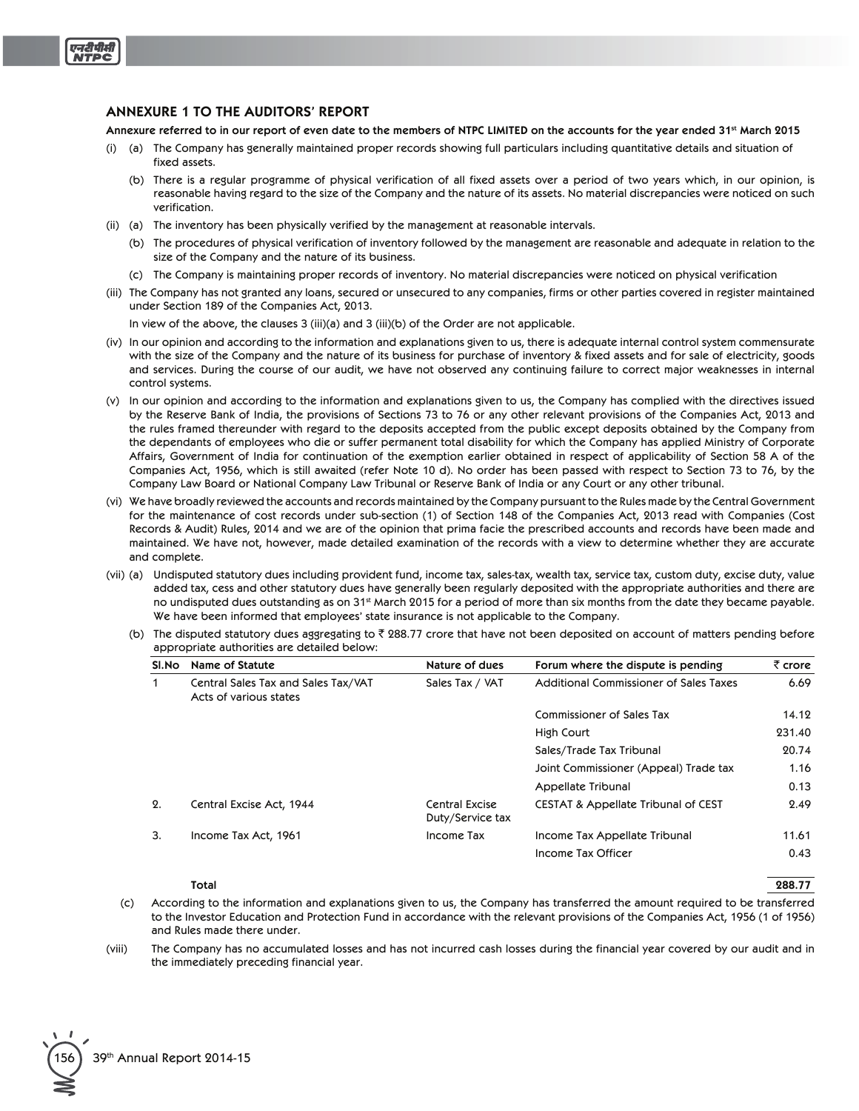

## **ANNEXURE 1 TO THE AUDITORS' REPORT**

**Annexure referred to in our report of even date to the members of NTPC LIMITED on the accounts for the year ended 31st March 2015** 

- (i) (a) The Company has generally maintained proper records showing full particulars including quantitative details and situation of fixed assets.
	- (b) There is a regular programme of physical verification of all fixed assets over a period of two years which, in our opinion, is reasonable having regard to the size of the Company and the nature of its assets. No material discrepancies were noticed on such verification.
- (ii) (a) The inventory has been physically verified by the management at reasonable intervals.
	- (b) The procedures of physical verification of inventory followed by the management are reasonable and adequate in relation to the size of the Company and the nature of its business.
	- (c) The Company is maintaining proper records of inventory. No material discrepancies were noticed on physical verification
- (iii) The Company has not granted any loans, secured or unsecured to any companies, firms or other parties covered in register maintained under Section 189 of the Companies Act, 2013.

In view of the above, the clauses 3 (iii)(a) and 3 (iii)(b) of the Order are not applicable.

- (iv) In our opinion and according to the information and explanations given to us, there is adequate internal control system commensurate with the size of the Company and the nature of its business for purchase of inventory & fixed assets and for sale of electricity, goods and services. During the course of our audit, we have not observed any continuing failure to correct major weaknesses in internal control systems.
- (v) In our opinion and according to the information and explanations given to us, the Company has complied with the directives issued by the Reserve Bank of India, the provisions of Sections 73 to 76 or any other relevant provisions of the Companies Act, 2013 and the rules framed thereunder with regard to the deposits accepted from the public except deposits obtained by the Company from the dependants of employees who die or suffer permanent total disability for which the Company has applied Ministry of Corporate Affairs, Government of India for continuation of the exemption earlier obtained in respect of applicability of Section 58 A of the Companies Act, 1956, which is still awaited (refer Note 10 d). No order has been passed with respect to Section 73 to 76, by the Company Law Board or National Company Law Tribunal or Reserve Bank of India or any Court or any other tribunal.
- (vi) We have broadly reviewed the accounts and records maintained by the Company pursuant to the Rules made by the Central Government for the maintenance of cost records under sub-section (1) of Section 148 of the Companies Act, 2013 read with Companies (Cost Records & Audit) Rules, 2014 and we are of the opinion that prima facie the prescribed accounts and records have been made and maintained. We have not, however, made detailed examination of the records with a view to determine whether they are accurate and complete.
- (vii) (a) Undisputed statutory dues including provident fund, income tax, sales-tax, wealth tax, service tax, custom duty, excise duty, value added tax, cess and other statutory dues have generally been regularly deposited with the appropriate authorities and there are no undisputed dues outstanding as on 31<sup>st</sup> March 2015 for a period of more than six months from the date they became payable. We have been informed that employees' state insurance is not applicable to the Company.
	- (b) The disputed statutory dues aggregating to  $\bar{z}$  288.77 crore that have not been deposited on account of matters pending before appropriate authorities are detailed below:

| SI.No | Name of Statute                                               | Nature of dues                     | Forum where the dispute is pending             | ₹ crore |
|-------|---------------------------------------------------------------|------------------------------------|------------------------------------------------|---------|
|       | Central Sales Tax and Sales Tax/VAT<br>Acts of various states | Sales Tax / VAT                    | Additional Commissioner of Sales Taxes         | 6.69    |
|       |                                                               |                                    | <b>Commissioner of Sales Tax</b>               | 14.12   |
|       |                                                               |                                    | <b>High Court</b>                              | 231.40  |
|       |                                                               |                                    | Sales/Trade Tax Tribunal                       | 20.74   |
|       |                                                               |                                    | Joint Commissioner (Appeal) Trade tax          | 1.16    |
|       |                                                               |                                    | Appellate Tribunal                             | 0.13    |
| 2.    | Central Excise Act, 1944                                      | Central Excise<br>Duty/Service tax | <b>CESTAT &amp; Appellate Tribunal of CEST</b> | 2.49    |
| 3.    | Income Tax Act, 1961                                          | Income Tax                         | Income Tax Appellate Tribunal                  | 11.61   |
|       |                                                               |                                    | Income Tax Officer                             | 0.43    |

 **Total 288.77**

- (c) According to the information and explanations given to us, the Company has transferred the amount required to be transferred to the Investor Education and Protection Fund in accordance with the relevant provisions of the Companies Act, 1956 (1 of 1956) and Rules made there under.
- (viii) The Company has no accumulated losses and has not incurred cash losses during the financial year covered by our audit and in the immediately preceding financial year.

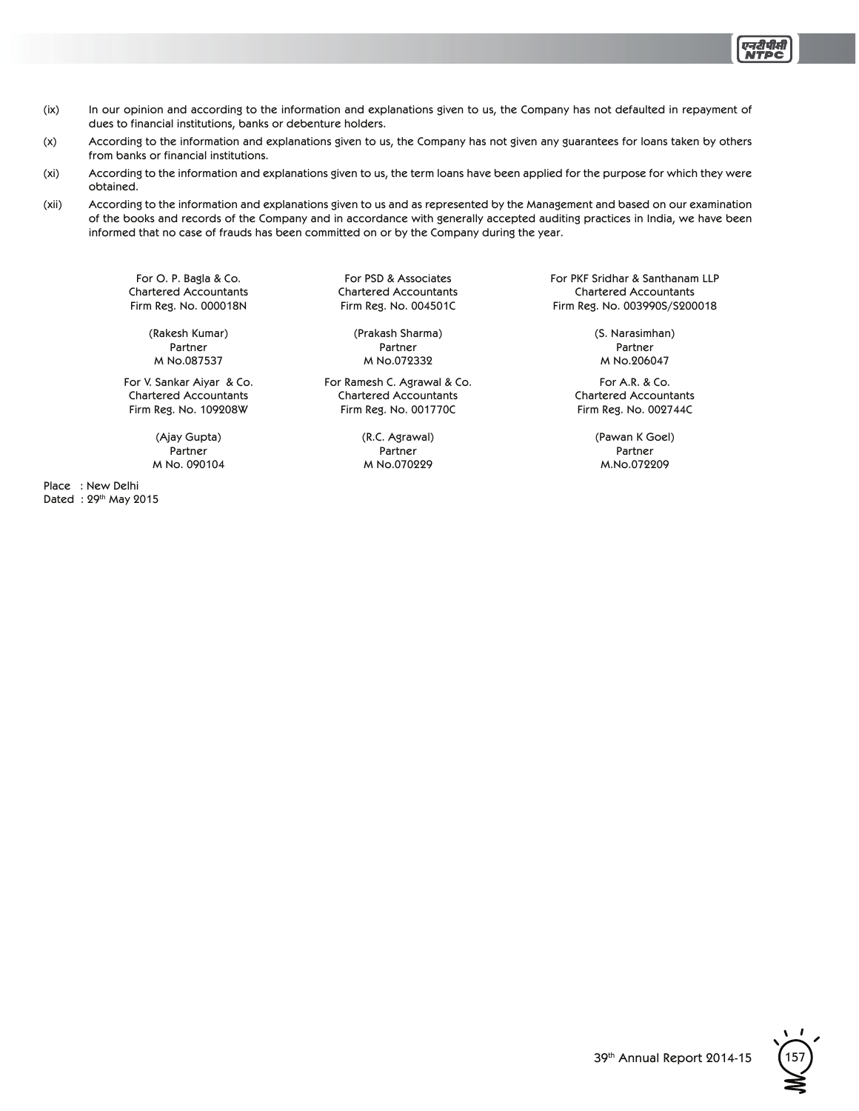- (ix) In our opinion and according to the information and explanations given to us, the Company has not defaulted in repayment of dues to financial institutions, banks or debenture holders.
- (x) According to the information and explanations given to us, the Company has not given any guarantees for loans taken by others from banks or financial institutions.
- (xi) According to the information and explanations given to us, the term loans have been applied for the purpose for which they were obtained.
- (xii) According to the information and explanations given to us and as represented by the Management and based on our examination of the books and records of the Company and in accordance with generally accepted auditing practices in India, we have been informed that no case of frauds has been committed on or by the Company during the year.

M No.087537 M No.072332 M No.206047

Partner Partner Partner Partner Partner Partner Partner Partner Partner Partner

Place : New Delhi Dated : 29th May 2015

 (Rakesh Kumar) (Prakash Sharma) (S. Narasimhan) Partner Partner Partner Partner Partner Partner Partner Partner Partner Partner

> For V. Sankar Aiyar & Co. For Ramesh C. Agrawal & Co. For A.R. & Co. For A.R. & Co. Chartered Accountants Chartered Accountants Chartered Accountants Firm Reg. No. 109208W Firm Reg. No. 001770C Firm Reg. No. 002744C

M No. 090104 M No.070229 M.No.072209

For O. P. Bagla & Co. For PSD & Associates For PKF Sridhar & Santhanam LLP Chartered Accountants Chartered Accountants Chartered Accountants Firm Reg. No. 000018N Firm Reg. No. 004501C Firm Reg. No. 003990S/S200018

(Ajay Gupta) (R.C. Agrawal) (Pawan K Goel)

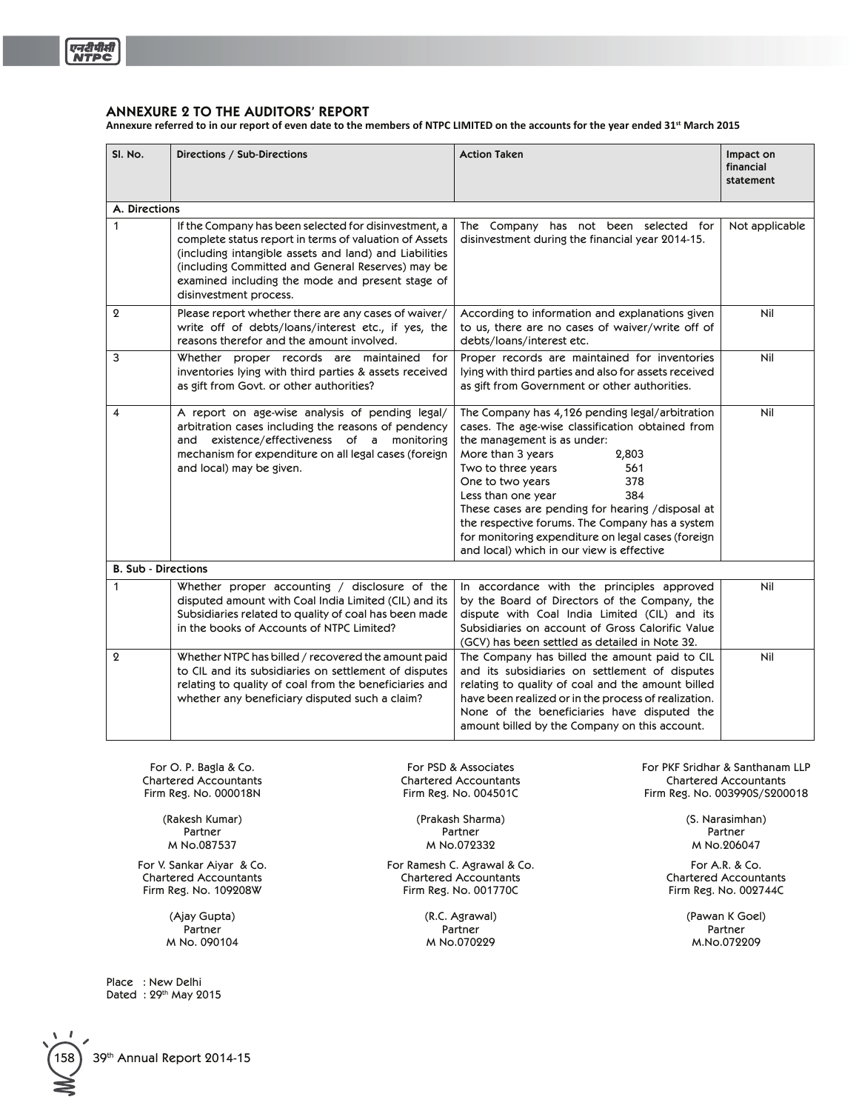## **ANNEXURE 2 TO THE AUDITORS' REPORT**

**Annexure referred to in our report of even date to the members of NTPC LIMITED on the accounts for the year ended 31st March 2015**

| SI. No.                    | Directions / Sub-Directions                                                                                                                                                                                                                                                                                  | <b>Action Taken</b>                                                                                                                                                                                                                                                                                                                                                                                                                                             | Impact on<br>financial<br>statement |  |  |  |  |
|----------------------------|--------------------------------------------------------------------------------------------------------------------------------------------------------------------------------------------------------------------------------------------------------------------------------------------------------------|-----------------------------------------------------------------------------------------------------------------------------------------------------------------------------------------------------------------------------------------------------------------------------------------------------------------------------------------------------------------------------------------------------------------------------------------------------------------|-------------------------------------|--|--|--|--|
| A. Directions              |                                                                                                                                                                                                                                                                                                              |                                                                                                                                                                                                                                                                                                                                                                                                                                                                 |                                     |  |  |  |  |
| $\mathbf{1}$               | If the Company has been selected for disinvestment, a<br>complete status report in terms of valuation of Assets<br>(including intangible assets and land) and Liabilities<br>(including Committed and General Reserves) may be<br>examined including the mode and present stage of<br>disinvestment process. | The Company has not been selected for<br>disinvestment during the financial year 2014-15.                                                                                                                                                                                                                                                                                                                                                                       | Not applicable                      |  |  |  |  |
| $\boldsymbol{\Omega}$      | Please report whether there are any cases of waiver/<br>write off of debts/loans/interest etc., if yes, the<br>reasons therefor and the amount involved.                                                                                                                                                     | According to information and explanations given<br>to us, there are no cases of waiver/write off of<br>debts/loans/interest etc.                                                                                                                                                                                                                                                                                                                                | Nil                                 |  |  |  |  |
| 3                          | Whether proper records are maintained for<br>inventories lying with third parties & assets received<br>as gift from Govt. or other authorities?                                                                                                                                                              | Proper records are maintained for inventories<br>lying with third parties and also for assets received<br>as gift from Government or other authorities.                                                                                                                                                                                                                                                                                                         | Nil                                 |  |  |  |  |
| $\overline{4}$             | A report on age-wise analysis of pending legal/<br>arbitration cases including the reasons of pendency<br>and existence/effectiveness of a monitoring<br>mechanism for expenditure on all legal cases (foreign<br>and local) may be given.                                                                   | The Company has 4,126 pending legal/arbitration<br>cases. The age-wise classification obtained from<br>the management is as under:<br>More than 3 years<br>2,803<br>Two to three years<br>561<br>378<br>One to two years<br>384<br>Less than one year<br>These cases are pending for hearing /disposal at<br>the respective forums. The Company has a system<br>for monitoring expenditure on legal cases (foreign<br>and local) which in our view is effective | Nil                                 |  |  |  |  |
| <b>B. Sub - Directions</b> |                                                                                                                                                                                                                                                                                                              |                                                                                                                                                                                                                                                                                                                                                                                                                                                                 |                                     |  |  |  |  |
| $\mathbf{1}$               | Whether proper accounting / disclosure of the<br>disputed amount with Coal India Limited (CIL) and its<br>Subsidiaries related to quality of coal has been made<br>in the books of Accounts of NTPC Limited?                                                                                                 | In accordance with the principles approved<br>by the Board of Directors of the Company, the<br>dispute with Coal India Limited (CIL) and its<br>Subsidiaries on account of Gross Calorific Value<br>(GCV) has been settled as detailed in Note 32.                                                                                                                                                                                                              | Nil                                 |  |  |  |  |
| $\mathbf{2}$               | Whether NTPC has billed / recovered the amount paid<br>to CIL and its subsidiaries on settlement of disputes<br>relating to quality of coal from the beneficiaries and<br>whether any beneficiary disputed such a claim?                                                                                     | The Company has billed the amount paid to CIL<br>and its subsidiaries on settlement of disputes<br>relating to quality of coal and the amount billed<br>have been realized or in the process of realization.<br>None of the beneficiaries have disputed the<br>amount billed by the Company on this account.                                                                                                                                                    | Nil                                 |  |  |  |  |

Partner Partner Partner Partner Partner Partner Partner Partner Partner Partner Partner Partner Partner Partner M No. 090104 M No.070229 M.No.072209

Place : New Delhi Dated : 29th May 2015

 (Rakesh Kumar) (Prakash Sharma) (S. Narasimhan) Partner Partner Partner Partner Partner Partner Partner Partner Partner Partner Partner Partner Partner Partner M No.087537 M No.072332 M No.206047

 For V. Sankar Aiyar & Co. For Ramesh C. Agrawal & Co. For A.R. & Co. Chartered Accountants Chartered Accountants Chartered Accountants

For O. P. Bagla & Co. The State of the Formula School of PSD & Associates For PKF Sridhar & Santhanam LLP Chartered Accountants Chartered Accountants Chartered Accountants Firm Reg. No. 003990S/S200018

Firm Reg. No. 002744C

(Ajay Gupta) (R.C. Agrawal) (Pawan K Goel)